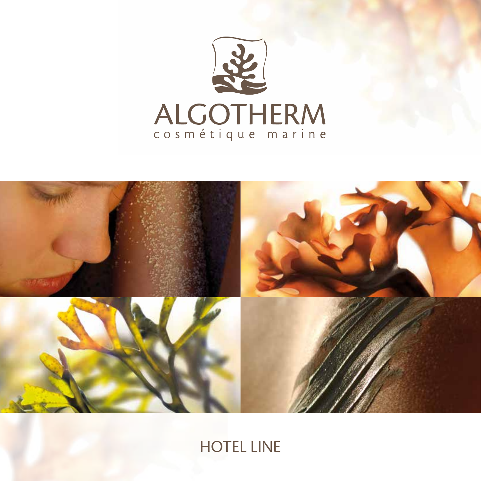



HOTEL LINE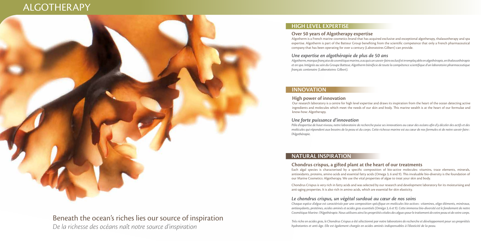# ALGOTHERAPY

## **HIGH LEVEL EXPERTISE**

## **INNOVATION**

## **NATURAL INSPIRATION**

## **Over 50 years of Algotherapy expertise**

Algotherm is a French marine cosmetics brand that has acquired exclusive and exceptional algotherapy, thalassotherapy and spa expertise. Algotherm is part of the Batteur Group benefiting from the scientific competence that only a French pharmaceutical company that has been operating for over a century (Laboratoires Gilbert) can provide.

## **High power of innovation**

Our research laboratory is a centre for high level expertise and draws its inspiration from the heart of the ocean detecting active ingredients and molecules which meet the needs of our skin and body. This marine wealth is at the heart of our formulae and know-how: Algotherapy.

## Beneath the ocean's riches lies our source of inspiration *De la richesse des océans naît notre source d'inspiration*

**Chondrus crispus, a gifted plant at the heart of our treatments** Each algal species is characterised by a specific composition of bio-active molecules: vitamins, trace elements, minerals, antioxidants, proteins, amino acids and essential fatty acids (Omega 3, 6 and 9). This invaluable bio-diversity is the foundation of our Marine Cosmetics: Algotherapy. We use the vital properties of algae to treat your skin and body.

Chondrus Crispus is very rich in fatty acids and was selected by our research and development laboratory for its moisturising and anti-aging properties. It is also rich in amino acids, which are essential for skin elasticity.

## *Une expertise en algothérapie de plus de 50 ans*

*Algotherm, marque française de cosmétique marine, a acquis un savoir-faire exclusif et irremplaçable en algothérapie, en thalassothérapie et en spa. Intégrée au sein du Groupe Batteur, Algotherm bénéficie de toute la compétence scientifique d'un laboratoire pharmaceutique français centenaire (Laboratoires Gilbert).*

### *Une forte puissance d'innovation*

*Pôle d'expertise de haut niveau, notre laboratoire de recherche puise ses innovations au cœur des océans afin d'y déceler des actifs et des molécules qui répondent aux besoins de la peau et du corps. Cette richesse marine est au cœur de nos formules et de notre savoir-faire : l'Algothérapie.*

## *Le chondrus crispus, un végétal surdoué au cœur de nos soins*

*Chaque espèce d'algue est caractérisée par une composition spécifique en molécules bio-actives : vitamines, oligo-éléments, minéraux, antioxydants, protéines, acides aminés et acides gras essentiels (Oméga 3, 6 et 9). Cette immense bio-diversité est le fondement de notre Cosmétique Marine : l'Algothérapie. Nous utilisons ainsi les propriétés vitales des algues pour le traitement de votre peau et de votre corps.*

*Très riche en acides gras, le Chondrus Crispus a été sélectionné par notre laboratoire de recherche et développement pour ses propriétés hydratantes et anti-âge. Elle est également chargée en acides aminés indispensables à l'élasticité de la peau.*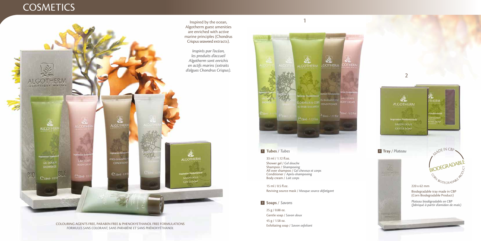Inspired by the ocean, Algotherm guest amenities are enriched with active marine principles (Chondrus Crispus seaweed extracts).

## **COSMETICS**





*Inspirés par l'océan, les produits d'accueil Algotherm sont enrichis en actifs marins (extraits d'algues Chondrus Crispus).*

*FORMULES SANS COLORANT, SANS PARABÈNE ET SANS PHÉNOXYÉTHANOL*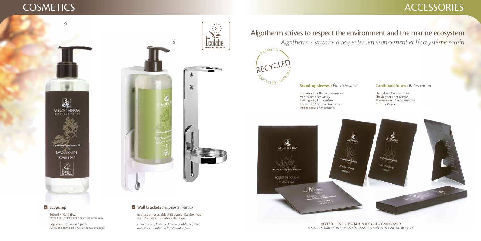# COSMETICS ACCESSORIES

## **Cardboard boxes** / Boîtes carton

## **4 5 Ecopump**



 $\epsilon$ 

In brass or recyclable ABS plastic. Can be fixed with 2 screws or double sided tape.

Dental set / *Bonnet de douche Set dentaire* Shaving set / *Set vanity Set rasage* Manicure set / *Étui couture Set manucure*Comb / Peigne

300 ml / 10.14 fl.oz. ECOLABEL CERTIFIED / *CERTIFIÉ ECOLABEL*

## **Wall brackets** */ Supports muraux*

Liquid soap / *Savon liquide* All over shampoo / *Gel cheveux et corps* Shower cap / Bonnet de douche Vanity set / Set vanity Sewing kit / Étui couture Shoe mitt / *Gant à chaussures Peigne* Paper tissues / *Mouchoirs*



## Algotherm strives to respect the environment and the marine ecosystem *Algotherm s'attache à respecter l'environnement et l'écosystème marin*



## **Stand-up sleeves / Étuis "chevalet"**

### ACCESSORIES ARE PACKED IN RECYCLED CARDBOARD *LES ACCESSOIRES SONT EMBALLÉS DANS DES BOÎTES EN CARTON RECYCLÉ*

*En laiton ou plastique ABS recyclable. Se fixent avec 2 vis ou ruban adhésif double face.*